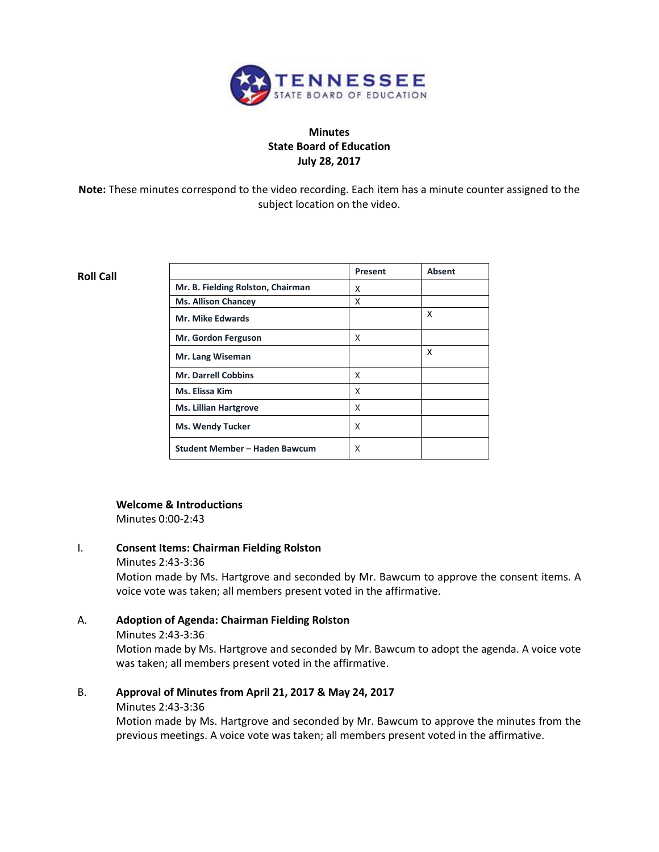

# **Minutes State Board of Education July 28, 2017**

**Note:** These minutes correspond to the video recording. Each item has a minute counter assigned to the subject location on the video.

#### **Roll Call**

|                                   | Present | <b>Absent</b> |
|-----------------------------------|---------|---------------|
| Mr. B. Fielding Rolston, Chairman | x       |               |
| <b>Ms. Allison Chancey</b>        | x       |               |
| <b>Mr. Mike Edwards</b>           |         | x             |
| Mr. Gordon Ferguson               | x       |               |
| Mr. Lang Wiseman                  |         | x             |
| <b>Mr. Darrell Cobbins</b>        | X       |               |
| Ms. Elissa Kim                    | X       |               |
| <b>Ms. Lillian Hartgrove</b>      | X       |               |
| <b>Ms. Wendy Tucker</b>           | X       |               |
| Student Member - Haden Bawcum     | x       |               |

#### **Welcome & Introductions**

Minutes 0:00-2:43

# I. **Consent Items: Chairman Fielding Rolston**

#### Minutes 2:43-3:36

Motion made by Ms. Hartgrove and seconded by Mr. Bawcum to approve the consent items. A voice vote was taken; all members present voted in the affirmative.

# A. **Adoption of Agenda: Chairman Fielding Rolston**

Minutes 2:43-3:36

Motion made by Ms. Hartgrove and seconded by Mr. Bawcum to adopt the agenda. A voice vote was taken; all members present voted in the affirmative.

# B. **Approval of Minutes from April 21, 2017 & May 24, 2017**

#### Minutes 2:43-3:36

Motion made by Ms. Hartgrove and seconded by Mr. Bawcum to approve the minutes from the previous meetings. A voice vote was taken; all members present voted in the affirmative.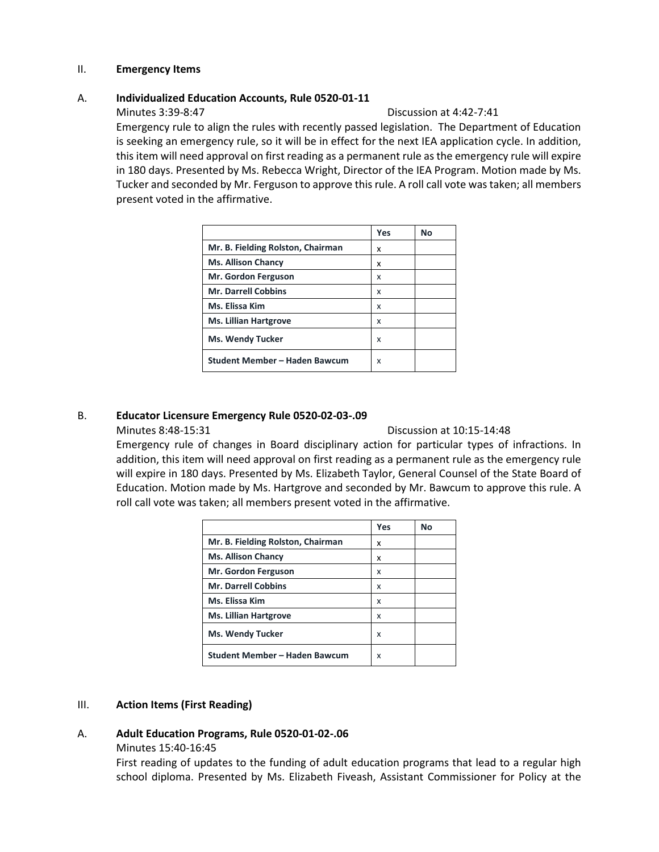### II. **Emergency Items**

### A. **Individualized Education Accounts, Rule 0520-01-11**

#### Minutes 3:39-8:47 Discussion at 4:42-7:41

Emergency rule to align the rules with recently passed legislation. The Department of Education is seeking an emergency rule, so it will be in effect for the next IEA application cycle. In addition, this item will need approval on first reading as a permanent rule as the emergency rule will expire in 180 days. Presented by Ms. Rebecca Wright, Director of the IEA Program. Motion made by Ms. Tucker and seconded by Mr. Ferguson to approve this rule. A roll call vote was taken; all members present voted in the affirmative.

|                                   | Yes | No |
|-----------------------------------|-----|----|
| Mr. B. Fielding Rolston, Chairman | x   |    |
| <b>Ms. Allison Chancy</b>         | x   |    |
| Mr. Gordon Ferguson               | x   |    |
| <b>Mr. Darrell Cobbins</b>        | x   |    |
| Ms. Elissa Kim                    | x   |    |
| <b>Ms. Lillian Hartgrove</b>      | x   |    |
| <b>Ms. Wendy Tucker</b>           | X   |    |
| Student Member - Haden Bawcum     | x   |    |

# B. **Educator Licensure Emergency Rule 0520-02-03-.09**

Minutes 8:48-15:31 Discussion at 10:15-14:48

Emergency rule of changes in Board disciplinary action for particular types of infractions. In addition, this item will need approval on first reading as a permanent rule as the emergency rule will expire in 180 days. Presented by Ms. Elizabeth Taylor, General Counsel of the State Board of Education. Motion made by Ms. Hartgrove and seconded by Mr. Bawcum to approve this rule. A roll call vote was taken; all members present voted in the affirmative.

|                                   | Yes | No |
|-----------------------------------|-----|----|
| Mr. B. Fielding Rolston, Chairman | x   |    |
| <b>Ms. Allison Chancy</b>         | x   |    |
| Mr. Gordon Ferguson               | x   |    |
| <b>Mr. Darrell Cobbins</b>        | x   |    |
| Ms. Elissa Kim                    | x   |    |
| <b>Ms. Lillian Hartgrove</b>      | x   |    |
| <b>Ms. Wendy Tucker</b>           | x   |    |
| Student Member - Haden Bawcum     | x   |    |

# III. **Action Items (First Reading)**

# A. **Adult Education Programs, Rule 0520-01-02-.06**

Minutes 15:40-16:45

First reading of updates to the funding of adult education programs that lead to a regular high school diploma. Presented by Ms. Elizabeth Fiveash, Assistant Commissioner for Policy at the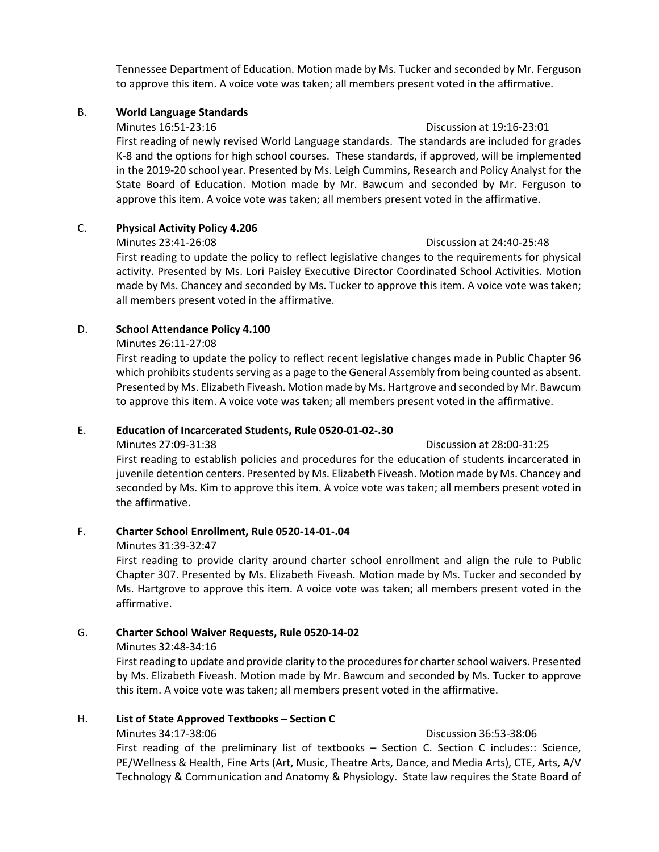Tennessee Department of Education. Motion made by Ms. Tucker and seconded by Mr. Ferguson to approve this item. A voice vote was taken; all members present voted in the affirmative.

# B. **World Language Standards**

#### Minutes 16:51-23:16 Discussion at 19:16-23:01

First reading of newly revised World Language standards. The standards are included for grades K-8 and the options for high school courses. These standards, if approved, will be implemented in the 2019-20 school year. Presented by Ms. Leigh Cummins, Research and Policy Analyst for the State Board of Education. Motion made by Mr. Bawcum and seconded by Mr. Ferguson to approve this item. A voice vote was taken; all members present voted in the affirmative.

# C. **Physical Activity Policy 4.206**

### Minutes 23:41-26:08 Discussion at 24:40-25:48

First reading to update the policy to reflect legislative changes to the requirements for physical activity. Presented by Ms. Lori Paisley Executive Director Coordinated School Activities. Motion made by Ms. Chancey and seconded by Ms. Tucker to approve this item. A voice vote was taken; all members present voted in the affirmative.

# D. **School Attendance Policy 4.100**

# Minutes 26:11-27:08

First reading to update the policy to reflect recent legislative changes made in Public Chapter 96 which prohibits students serving as a page to the General Assembly from being counted as absent. Presented by Ms. Elizabeth Fiveash. Motion made by Ms. Hartgrove and seconded by Mr. Bawcum to approve this item. A voice vote was taken; all members present voted in the affirmative.

# E. **Education of Incarcerated Students, Rule 0520-01-02-.30**

Minutes 27:09-31:38 Discussion at 28:00-31:25

First reading to establish policies and procedures for the education of students incarcerated in juvenile detention centers. Presented by Ms. Elizabeth Fiveash. Motion made by Ms. Chancey and seconded by Ms. Kim to approve this item. A voice vote was taken; all members present voted in the affirmative.

# F. **Charter School Enrollment, Rule 0520-14-01-.04**

# Minutes 31:39-32:47

First reading to provide clarity around charter school enrollment and align the rule to Public Chapter 307. Presented by Ms. Elizabeth Fiveash. Motion made by Ms. Tucker and seconded by Ms. Hartgrove to approve this item. A voice vote was taken; all members present voted in the affirmative.

# G. **Charter School Waiver Requests, Rule 0520-14-02**

# Minutes 32:48-34:16

First reading to update and provide clarity to the procedures for charter school waivers. Presented by Ms. Elizabeth Fiveash. Motion made by Mr. Bawcum and seconded by Ms. Tucker to approve this item. A voice vote was taken; all members present voted in the affirmative.

# H. **List of State Approved Textbooks – Section C**

#### Minutes 34:17-38:06 Discussion 36:53-38:06

First reading of the preliminary list of textbooks - Section C. Section C includes:: Science, PE/Wellness & Health, Fine Arts (Art, Music, Theatre Arts, Dance, and Media Arts), CTE, Arts, A/V Technology & Communication and Anatomy & Physiology. State law requires the State Board of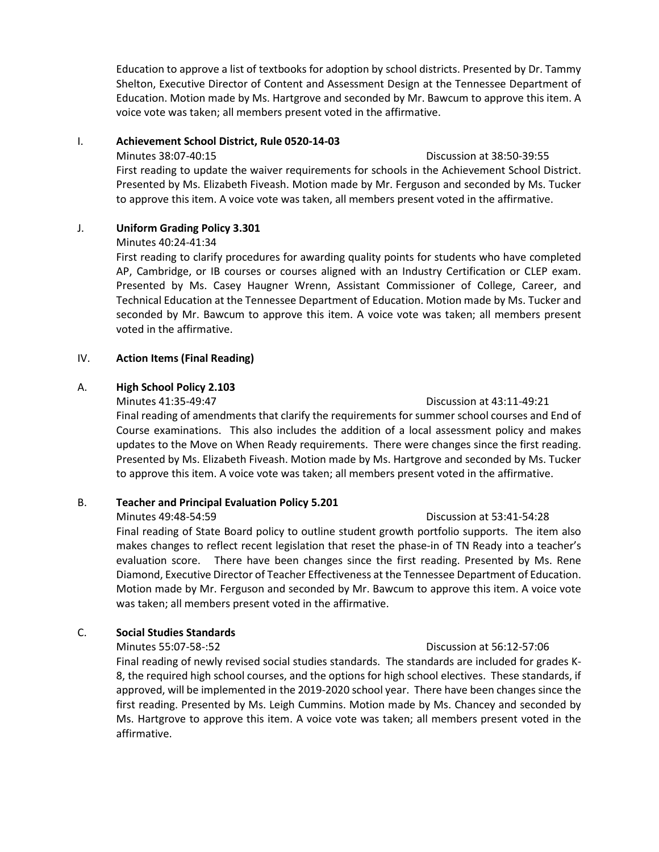Education to approve a list of textbooks for adoption by school districts. Presented by Dr. Tammy Shelton, Executive Director of Content and Assessment Design at the Tennessee Department of Education. Motion made by Ms. Hartgrove and seconded by Mr. Bawcum to approve this item. A voice vote was taken; all members present voted in the affirmative.

#### I. **Achievement School District, Rule 0520-14-03**

#### Minutes 38:07-40:15 Discussion at 38:50-39:55

First reading to update the waiver requirements for schools in the Achievement School District. Presented by Ms. Elizabeth Fiveash. Motion made by Mr. Ferguson and seconded by Ms. Tucker to approve this item. A voice vote was taken, all members present voted in the affirmative.

# J. **Uniform Grading Policy 3.301**

### Minutes 40:24-41:34

First reading to clarify procedures for awarding quality points for students who have completed AP, Cambridge, or IB courses or courses aligned with an Industry Certification or CLEP exam. Presented by Ms. Casey Haugner Wrenn, Assistant Commissioner of College, Career, and Technical Education at the Tennessee Department of Education. Motion made by Ms. Tucker and seconded by Mr. Bawcum to approve this item. A voice vote was taken; all members present voted in the affirmative.

# IV. **Action Items (Final Reading)**

# A. **High School Policy 2.103**

### Minutes 41:35-49:47 Discussion at 43:11-49:21

Final reading of amendments that clarify the requirements for summer school courses and End of Course examinations. This also includes the addition of a local assessment policy and makes updates to the Move on When Ready requirements. There were changes since the first reading. Presented by Ms. Elizabeth Fiveash. Motion made by Ms. Hartgrove and seconded by Ms. Tucker to approve this item. A voice vote was taken; all members present voted in the affirmative.

# B. **Teacher and Principal Evaluation Policy 5.201**

Minutes 49:48-54:59 Discussion at 53:41-54:28 Final reading of State Board policy to outline student growth portfolio supports. The item also makes changes to reflect recent legislation that reset the phase-in of TN Ready into a teacher's evaluation score. There have been changes since the first reading. Presented by Ms. Rene Diamond, Executive Director of Teacher Effectiveness at the Tennessee Department of Education. Motion made by Mr. Ferguson and seconded by Mr. Bawcum to approve this item. A voice vote was taken; all members present voted in the affirmative.

# C. **Social Studies Standards**

Final reading of newly revised social studies standards. The standards are included for grades K-8, the required high school courses, and the options for high school electives. These standards, if approved, will be implemented in the 2019-2020 school year. There have been changes since the first reading. Presented by Ms. Leigh Cummins. Motion made by Ms. Chancey and seconded by Ms. Hartgrove to approve this item. A voice vote was taken; all members present voted in the affirmative.

# Minutes 55:07-58-:52 Discussion at 56:12-57:06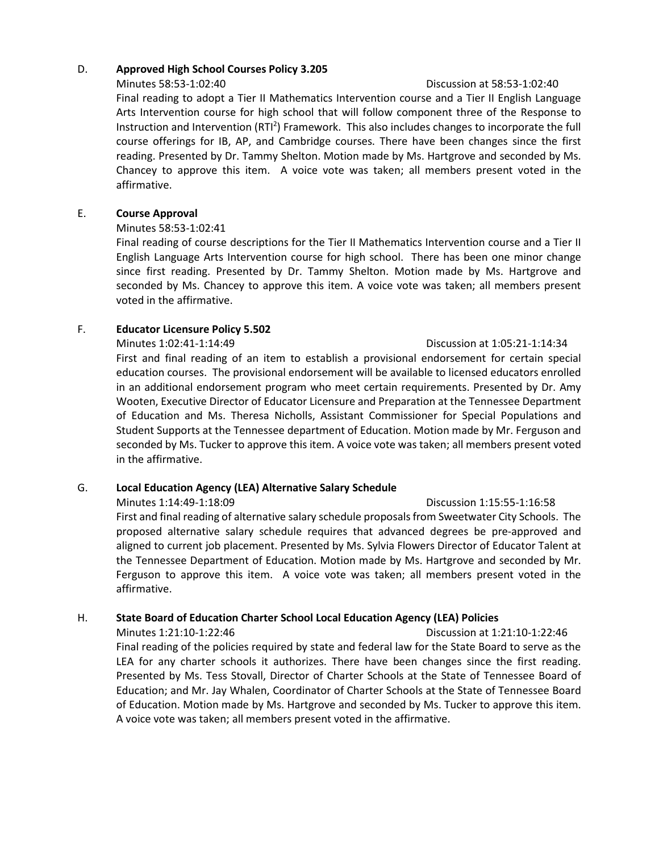# D. **Approved High School Courses Policy 3.205**

#### Minutes 58:53-1:02:40 Discussion at 58:53-1:02:40

Final reading to adopt a Tier II Mathematics Intervention course and a Tier II English Language Arts Intervention course for high school that will follow component three of the Response to Instruction and Intervention (RTI<sup>2</sup>) Framework. This also includes changes to incorporate the full course offerings for IB, AP, and Cambridge courses. There have been changes since the first reading. Presented by Dr. Tammy Shelton. Motion made by Ms. Hartgrove and seconded by Ms. Chancey to approve this item. A voice vote was taken; all members present voted in the affirmative.

# E. **Course Approval**

# Minutes 58:53-1:02:41

Final reading of course descriptions for the Tier II Mathematics Intervention course and a Tier II English Language Arts Intervention course for high school. There has been one minor change since first reading. Presented by Dr. Tammy Shelton. Motion made by Ms. Hartgrove and seconded by Ms. Chancey to approve this item. A voice vote was taken; all members present voted in the affirmative.

# F. **Educator Licensure Policy 5.502**

Minutes 1:02:41-1:14:49 Discussion at 1:05:21-1:14:34 First and final reading of an item to establish a provisional endorsement for certain special education courses. The provisional endorsement will be available to licensed educators enrolled in an additional endorsement program who meet certain requirements. Presented by Dr. Amy Wooten, Executive Director of Educator Licensure and Preparation at the Tennessee Department of Education and Ms. Theresa Nicholls, Assistant Commissioner for Special Populations and Student Supports at the Tennessee department of Education. Motion made by Mr. Ferguson and seconded by Ms. Tucker to approve this item. A voice vote was taken; all members present voted in the affirmative.

# G. **Local Education Agency (LEA) Alternative Salary Schedule**

Minutes 1:14:49-1:18:09 Discussion 1:15:55-1:16:58 First and final reading of alternative salary schedule proposals from Sweetwater City Schools. The proposed alternative salary schedule requires that advanced degrees be pre-approved and aligned to current job placement. Presented by Ms. Sylvia Flowers Director of Educator Talent at the Tennessee Department of Education. Motion made by Ms. Hartgrove and seconded by Mr. Ferguson to approve this item. A voice vote was taken; all members present voted in the affirmative.

# H. **State Board of Education Charter School Local Education Agency (LEA) Policies**

Minutes 1:21:10-1:22:46 Discussion at 1:21:10-1:22:46 Final reading of the policies required by state and federal law for the State Board to serve as the LEA for any charter schools it authorizes. There have been changes since the first reading. Presented by Ms. Tess Stovall, Director of Charter Schools at the State of Tennessee Board of Education; and Mr. Jay Whalen, Coordinator of Charter Schools at the State of Tennessee Board of Education. Motion made by Ms. Hartgrove and seconded by Ms. Tucker to approve this item. A voice vote was taken; all members present voted in the affirmative.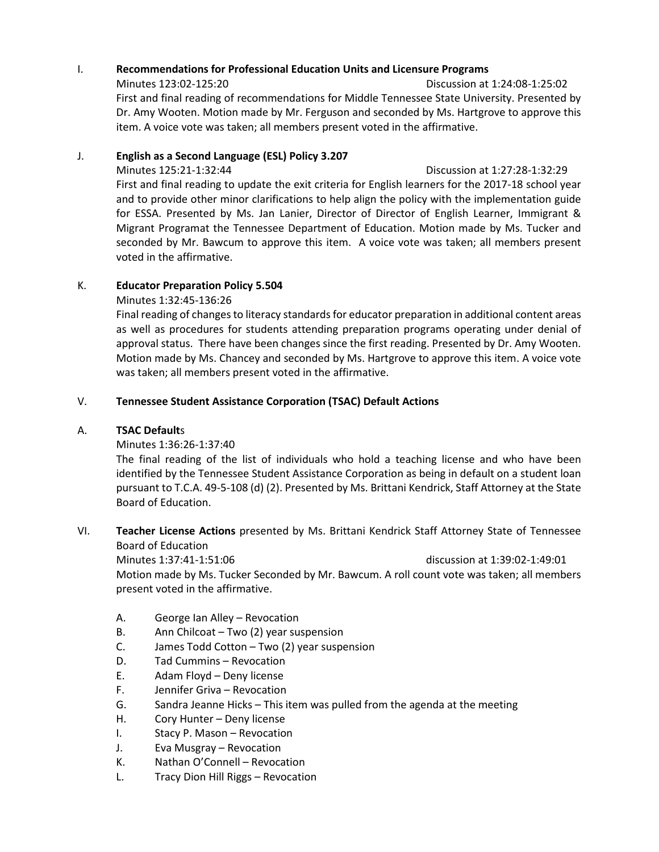# I. **Recommendations for Professional Education Units and Licensure Programs**

Minutes 123:02-125:20 Discussion at 1:24:08-1:25:02 First and final reading of recommendations for Middle Tennessee State University. Presented by Dr. Amy Wooten. Motion made by Mr. Ferguson and seconded by Ms. Hartgrove to approve this item. A voice vote was taken; all members present voted in the affirmative.

# J. **English as a Second Language (ESL) Policy 3.207**

# Minutes 125:21-1:32:44 Discussion at 1:27:28-1:32:29

First and final reading to update the exit criteria for English learners for the 2017-18 school year and to provide other minor clarifications to help align the policy with the implementation guide for ESSA. Presented by Ms. Jan Lanier, Director of Director of English Learner, Immigrant & Migrant Programat the Tennessee Department of Education. Motion made by Ms. Tucker and seconded by Mr. Bawcum to approve this item. A voice vote was taken; all members present voted in the affirmative.

# K. **Educator Preparation Policy 5.504**

# Minutes 1:32:45-136:26

Final reading of changes to literacy standards for educator preparation in additional content areas as well as procedures for students attending preparation programs operating under denial of approval status. There have been changes since the first reading. Presented by Dr. Amy Wooten. Motion made by Ms. Chancey and seconded by Ms. Hartgrove to approve this item. A voice vote was taken; all members present voted in the affirmative.

# V. **Tennessee Student Assistance Corporation (TSAC) Default Actions**

# A. **TSAC Default**s

# Minutes 1:36:26-1:37:40

The final reading of the list of individuals who hold a teaching license and who have been identified by the Tennessee Student Assistance Corporation as being in default on a student loan pursuant to T.C.A. 49-5-108 (d) (2). Presented by Ms. Brittani Kendrick, Staff Attorney at the State Board of Education.

# VI. **Teacher License Actions** presented by Ms. Brittani Kendrick Staff Attorney State of Tennessee Board of Education

Minutes 1:37:41-1:51:06 discussion at 1:39:02-1:49:01 Motion made by Ms. Tucker Seconded by Mr. Bawcum. A roll count vote was taken; all members present voted in the affirmative.

- A. George Ian Alley Revocation
- B. Ann Chilcoat Two (2) year suspension
- C. James Todd Cotton Two (2) year suspension
- D. Tad Cummins Revocation
- E. Adam Floyd Deny license
- F. Jennifer Griva Revocation
- G. Sandra Jeanne Hicks This item was pulled from the agenda at the meeting
- H. Cory Hunter Deny license
- I. Stacy P. Mason Revocation
- J. Eva Musgray Revocation
- K. Nathan O'Connell Revocation
- L. Tracy Dion Hill Riggs Revocation